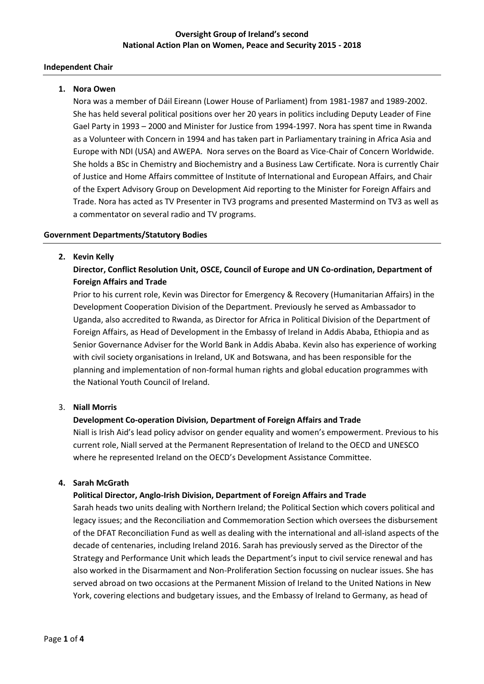# **Oversight Group of Ireland's second National Action Plan on Women, Peace and Security 2015 - 2018**

#### **Independent Chair**

#### **1. Nora Owen**

Nora was a member of Dáil Eireann (Lower House of Parliament) from 1981-1987 and 1989-2002. She has held several political positions over her 20 years in politics including Deputy Leader of Fine Gael Party in 1993 – 2000 and Minister for Justice from 1994-1997. Nora has spent time in Rwanda as a Volunteer with Concern in 1994 and has taken part in Parliamentary training in Africa Asia and Europe with NDI (USA) and AWEPA. Nora serves on the Board as Vice-Chair of Concern Worldwide. She holds a BSc in Chemistry and Biochemistry and a Business Law Certificate. Nora is currently Chair of Justice and Home Affairs committee of Institute of International and European Affairs, and Chair of the Expert Advisory Group on Development Aid reporting to the Minister for Foreign Affairs and Trade. Nora has acted as TV Presenter in TV3 programs and presented Mastermind on TV3 as well as a commentator on several radio and TV programs.

#### **Government Departments/Statutory Bodies**

#### **2. Kevin Kelly**

# **Director, Conflict Resolution Unit, OSCE, Council of Europe and UN Co-ordination, Department of Foreign Affairs and Trade**

Prior to his current role, Kevin was Director for Emergency & Recovery (Humanitarian Affairs) in the Development Cooperation Division of the Department. Previously he served as Ambassador to Uganda, also accredited to Rwanda, as Director for Africa in Political Division of the Department of Foreign Affairs, as Head of Development in the Embassy of Ireland in Addis Ababa, Ethiopia and as Senior Governance Adviser for the World Bank in Addis Ababa. Kevin also has experience of working with civil society organisations in Ireland, UK and Botswana, and has been responsible for the planning and implementation of non-formal human rights and global education programmes with the National Youth Council of Ireland.

#### 3. **Niall Morris**

#### **Development Co-operation Division, Department of Foreign Affairs and Trade**

Niall is Irish Aid's lead policy advisor on gender equality and women's empowerment. Previous to his current role, Niall served at the Permanent Representation of Ireland to the OECD and UNESCO where he represented Ireland on the OECD's Development Assistance Committee.

#### **4. Sarah McGrath**

#### **Political Director, Anglo-Irish Division, Department of Foreign Affairs and Trade**

Sarah heads two units dealing with Northern Ireland; the Political Section which covers political and legacy issues; and the Reconciliation and Commemoration Section which oversees the disbursement of the DFAT Reconciliation Fund as well as dealing with the international and all-island aspects of the decade of centenaries, including Ireland 2016. Sarah has previously served as the Director of the Strategy and Performance Unit which leads the Department's input to civil service renewal and has also worked in the Disarmament and Non-Proliferation Section focussing on nuclear issues. She has served abroad on two occasions at the Permanent Mission of Ireland to the United Nations in New York, covering elections and budgetary issues, and the Embassy of Ireland to Germany, as head of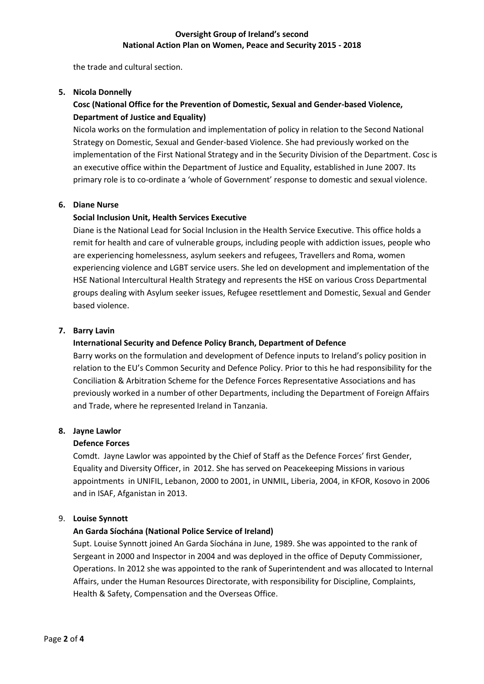the trade and cultural section.

# **5. Nicola Donnelly**

# **Cosc (National Office for the Prevention of Domestic, Sexual and Gender-based Violence, Department of Justice and Equality)**

Nicola works on the formulation and implementation of policy in relation to the Second National Strategy on Domestic, Sexual and Gender-based Violence. She had previously worked on the implementation of the First National Strategy and in the Security Division of the Department. Cosc is an executive office within the Department of Justice and Equality, established in June 2007. Its primary role is to co-ordinate a 'whole of Government' response to domestic and sexual violence.

# **6. Diane Nurse**

# **Social Inclusion Unit, Health Services Executive**

Diane is the National Lead for Social Inclusion in the Health Service Executive. This office holds a remit for health and care of vulnerable groups, including people with addiction issues, people who are experiencing homelessness, asylum seekers and refugees, Travellers and Roma, women experiencing violence and LGBT service users. She led on development and implementation of the HSE National Intercultural Health Strategy and represents the HSE on various Cross Departmental groups dealing with Asylum seeker issues, Refugee resettlement and Domestic, Sexual and Gender based violence.

# **7. Barry Lavin**

# **International Security and Defence Policy Branch, Department of Defence**

Barry works on the formulation and development of Defence inputs to Ireland's policy position in relation to the EU's Common Security and Defence Policy. Prior to this he had responsibility for the Conciliation & Arbitration Scheme for the Defence Forces Representative Associations and has previously worked in a number of other Departments, including the Department of Foreign Affairs and Trade, where he represented Ireland in Tanzania.

#### **8. Jayne Lawlor**

#### **Defence Forces**

Comdt. Jayne Lawlor was appointed by the Chief of Staff as the Defence Forces' first Gender, Equality and Diversity Officer, in 2012. She has served on Peacekeeping Missions in various appointments in UNIFIL, Lebanon, 2000 to 2001, in UNMIL, Liberia, 2004, in KFOR, Kosovo in 2006 and in ISAF, Afganistan in 2013.

#### 9. **Louise Synnott**

# **An Garda Síochána (National Police Service of Ireland)**

Supt. Louise Synnott joined An Garda Síochána in June, 1989. She was appointed to the rank of Sergeant in 2000 and Inspector in 2004 and was deployed in the office of Deputy Commissioner, Operations. In 2012 she was appointed to the rank of Superintendent and was allocated to Internal Affairs, under the Human Resources Directorate, with responsibility for Discipline, Complaints, Health & Safety, Compensation and the Overseas Office.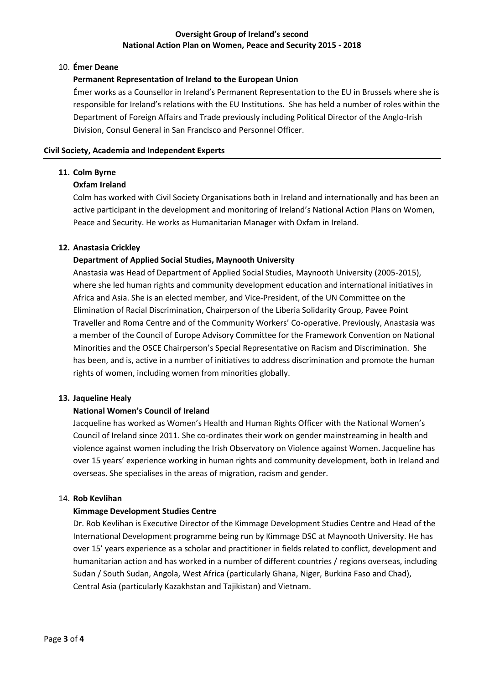# **Oversight Group of Ireland's second National Action Plan on Women, Peace and Security 2015 - 2018**

#### 10. **Émer Deane**

# **Permanent Representation of Ireland to the European Union**

Émer works as a Counsellor in Ireland's Permanent Representation to the EU in Brussels where she is responsible for Ireland's relations with the EU Institutions. She has held a number of roles within the Department of Foreign Affairs and Trade previously including Political Director of the Anglo-Irish Division, Consul General in San Francisco and Personnel Officer.

#### **Civil Society, Academia and Independent Experts**

# **11. Colm Byrne**

# **Oxfam Ireland**

Colm has worked with Civil Society Organisations both in Ireland and internationally and has been an active participant in the development and monitoring of Ireland's National Action Plans on Women, Peace and Security. He works as Humanitarian Manager with Oxfam in Ireland.

# **12. Anastasia Crickley**

# **Department of Applied Social Studies, Maynooth University**

Anastasia was Head of Department of Applied Social Studies, Maynooth University (2005-2015), where she led human rights and community development education and international initiatives in Africa and Asia. She is an elected member, and Vice-President, of the UN Committee on the Elimination of Racial Discrimination, Chairperson of the Liberia Solidarity Group, Pavee Point Traveller and Roma Centre and of the Community Workers' Co-operative. Previously, Anastasia was a member of the Council of Europe Advisory Committee for the Framework Convention on National Minorities and the OSCE Chairperson's Special Representative on Racism and Discrimination. She has been, and is, active in a number of initiatives to address discrimination and promote the human rights of women, including women from minorities globally.

#### **13. Jaqueline Healy**

# **National Women's Council of Ireland**

Jacqueline has worked as Women's Health and Human Rights Officer with the National Women's Council of Ireland since 2011. She co-ordinates their work on gender mainstreaming in health and violence against women including the Irish Observatory on Violence against Women. Jacqueline has over 15 years' experience working in human rights and community development, both in Ireland and overseas. She specialises in the areas of migration, racism and gender.

#### 14. **Rob Kevlihan**

# **Kimmage Development Studies Centre**

Dr. Rob Kevlihan is Executive Director of the Kimmage Development Studies Centre and Head of the International Development programme being run by Kimmage DSC at Maynooth University. He has over 15' years experience as a scholar and practitioner in fields related to conflict, development and humanitarian action and has worked in a number of different countries / regions overseas, including Sudan / South Sudan, Angola, West Africa (particularly Ghana, Niger, Burkina Faso and Chad), Central Asia (particularly Kazakhstan and Tajikistan) and Vietnam.